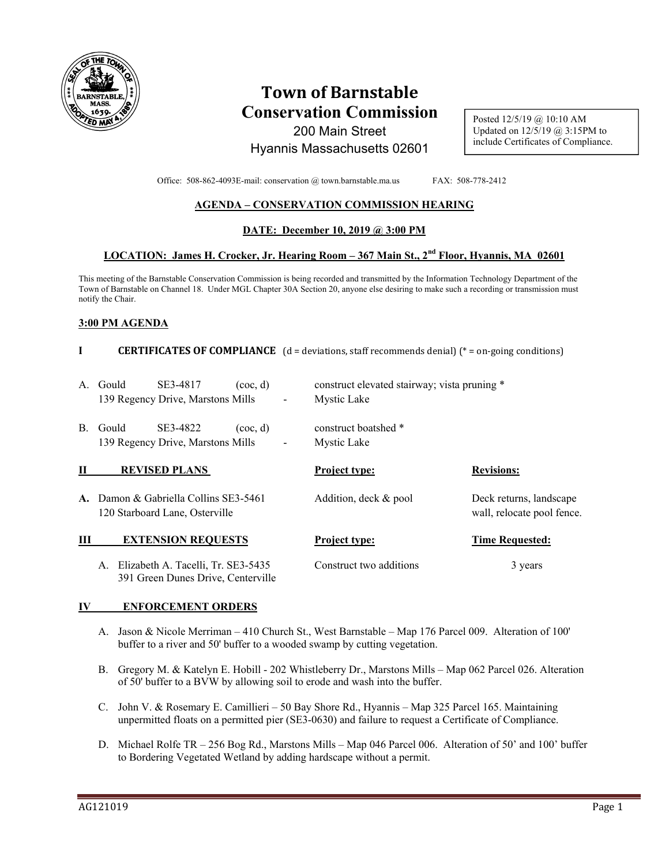

# **Town of Barnstable Conservation Commission**

200 Main Street Hyannis Massachusetts 02601 Posted 12/5/19 @ 10:10 AM Updated on 12/5/19 @ 3:15PM to include Certificates of Compliance.

Office: 508-862-4093E-mail: conservation @ town.barnstable.ma.us FAX: 508-778-2412

# **AGENDA – CONSERVATION COMMISSION HEARING**

#### **DATE: December 10, 2019 @ 3:00 PM**

# **LOCATION: James H. Crocker, Jr. Hearing Room – 367 Main St., 2nd Floor, Hyannis, MA 02601**

This meeting of the Barnstable Conservation Commission is being recorded and transmitted by the Information Technology Department of the Town of Barnstable on Channel 18. Under MGL Chapter 30A Section 20, anyone else desiring to make such a recording or transmission must notify the Chair.

#### **3:00 PM AGENDA**

# **I CERTIFICATES OF COMPLIANCE**  $(d = deviations, staff recommends denial) (* = on-going conditions)$

| A.             | Gould<br>SE3-4817<br>139 Regency Drive, Marstons Mills                      | $($ coc, d $)$ | construct elevated stairway; vista pruning *<br>Mystic Lake |                                                       |
|----------------|-----------------------------------------------------------------------------|----------------|-------------------------------------------------------------|-------------------------------------------------------|
| $\mathbf{B}$ . | Gould<br>SE3-4822<br>139 Regency Drive, Marstons Mills                      | $($ coc, d $)$ | construct boatshed *<br>Mystic Lake                         |                                                       |
| Н              | <b>REVISED PLANS</b>                                                        |                | <b>Project type:</b>                                        | <b>Revisions:</b>                                     |
| $\mathbf{A}$ . | Damon & Gabriella Collins SE3-5461<br>120 Starboard Lane, Osterville        |                | Addition, deck & pool                                       | Deck returns, landscape<br>wall, relocate pool fence. |
| Ш              | <b>EXTENSION REQUESTS</b>                                                   |                | <b>Project type:</b>                                        | <b>Time Requested:</b>                                |
|                | A. Elizabeth A. Tacelli, Tr. SE3-5435<br>391 Green Dunes Drive, Centerville |                | Construct two additions                                     | 3 years                                               |

#### **IV ENFORCEMENT ORDERS**

- A. Jason & Nicole Merriman 410 Church St., West Barnstable Map 176 Parcel 009. Alteration of 100' buffer to a river and 50' buffer to a wooded swamp by cutting vegetation.
- B. Gregory M. & Katelyn E. Hobill 202 Whistleberry Dr., Marstons Mills Map 062 Parcel 026. Alteration of 50' buffer to a BVW by allowing soil to erode and wash into the buffer.
- C. John V. & Rosemary E. Camillieri 50 Bay Shore Rd., Hyannis Map 325 Parcel 165. Maintaining unpermitted floats on a permitted pier (SE3-0630) and failure to request a Certificate of Compliance.
- D. Michael Rolfe TR 256 Bog Rd., Marstons Mills Map 046 Parcel 006. Alteration of 50' and 100' buffer to Bordering Vegetated Wetland by adding hardscape without a permit.